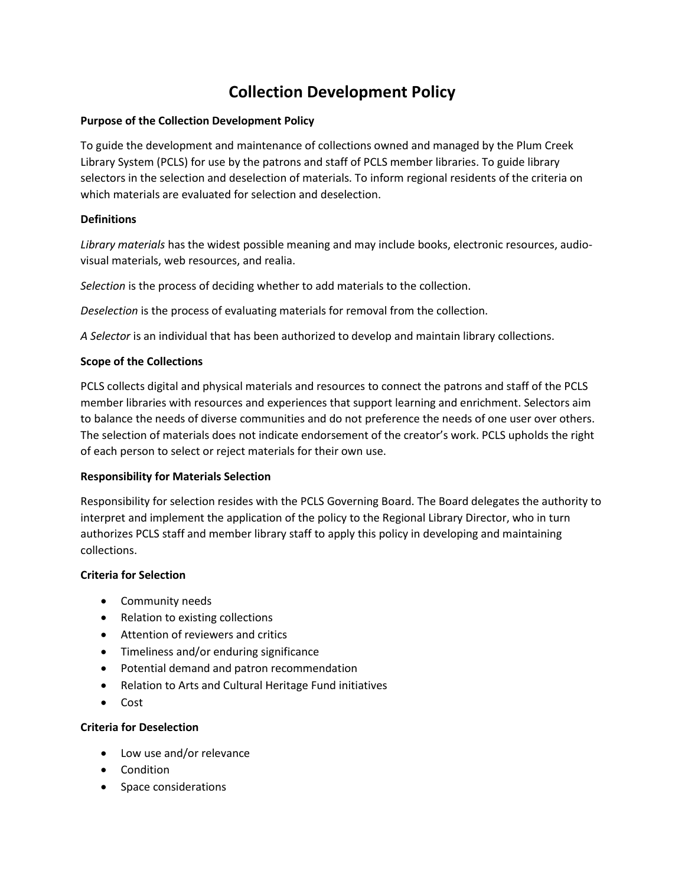# **Collection Development Policy**

## **Purpose of the Collection Development Policy**

To guide the development and maintenance of collections owned and managed by the Plum Creek Library System (PCLS) for use by the patrons and staff of PCLS member libraries. To guide library selectors in the selection and deselection of materials. To inform regional residents of the criteria on which materials are evaluated for selection and deselection.

## **Definitions**

*Library materials* has the widest possible meaning and may include books, electronic resources, audiovisual materials, web resources, and realia.

*Selection* is the process of deciding whether to add materials to the collection.

*Deselection* is the process of evaluating materials for removal from the collection.

*A Selector* is an individual that has been authorized to develop and maintain library collections.

## **Scope of the Collections**

PCLS collects digital and physical materials and resources to connect the patrons and staff of the PCLS member libraries with resources and experiences that support learning and enrichment. Selectors aim to balance the needs of diverse communities and do not preference the needs of one user over others. The selection of materials does not indicate endorsement of the creator's work. PCLS upholds the right of each person to select or reject materials for their own use.

#### **Responsibility for Materials Selection**

Responsibility for selection resides with the PCLS Governing Board. The Board delegates the authority to interpret and implement the application of the policy to the Regional Library Director, who in turn authorizes PCLS staff and member library staff to apply this policy in developing and maintaining collections.

#### **Criteria for Selection**

- Community needs
- Relation to existing collections
- Attention of reviewers and critics
- Timeliness and/or enduring significance
- Potential demand and patron recommendation
- Relation to Arts and Cultural Heritage Fund initiatives
- Cost

#### **Criteria for Deselection**

- Low use and/or relevance
- Condition
- Space considerations